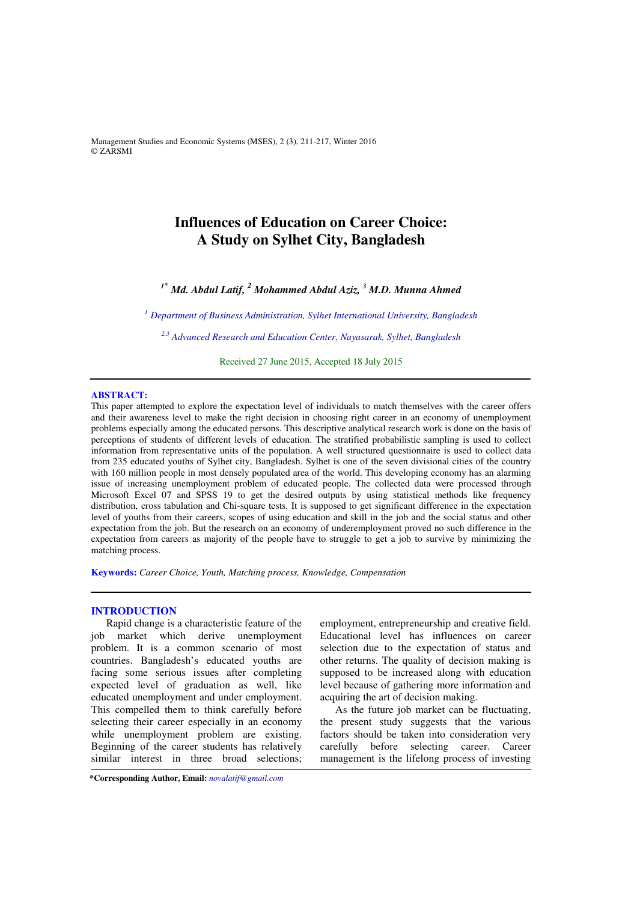Management Studies and Economic Systems (MSES), 2 (3), 211-217, Winter 2016 © ZARSMI

# **Influences of Education on Career Choice: A Study on Sylhet City, Bangladesh**

*<sup>1</sup>\* Md. Abdul Latif, <sup>2</sup> Mohammed Abdul Aziz, <sup>3</sup> M.D. Munna Ahmed* 

*<sup>1</sup> Department of Business Administration, Sylhet International University, Bangladesh* 

*2,3 Advanced Research and Education Center, Nayasarak, Sylhet, Bangladesh*

Received 27 June 2015, Accepted 18 July 2015 

# **ABSTRACT:**

This paper attempted to explore the expectation level of individuals to match themselves with the career offers and their awareness level to make the right decision in choosing right career in an economy of unemployment problems especially among the educated persons. This descriptive analytical research work is done on the basis of perceptions of students of different levels of education. The stratified probabilistic sampling is used to collect information from representative units of the population. A well structured questionnaire is used to collect data from 235 educated youths of Sylhet city, Bangladesh. Sylhet is one of the seven divisional cities of the country with 160 million people in most densely populated area of the world. This developing economy has an alarming issue of increasing unemployment problem of educated people. The collected data were processed through Microsoft Excel 07 and SPSS 19 to get the desired outputs by using statistical methods like frequency distribution, cross tabulation and Chi-square tests. It is supposed to get significant difference in the expectation level of youths from their careers, scopes of using education and skill in the job and the social status and other expectation from the job. But the research on an economy of underemployment proved no such difference in the expectation from careers as majority of the people have to struggle to get a job to survive by minimizing the matching process.

**Keywords:** *Career Choice, Youth, Matching process, Knowledge, Compensation* 

# **INTRODUCTION**

Rapid change is a characteristic feature of the job market which derive unemployment problem. It is a common scenario of most countries. Bangladesh's educated youths are facing some serious issues after completing expected level of graduation as well, like educated unemployment and under employment. This compelled them to think carefully before selecting their career especially in an economy while unemployment problem are existing. Beginning of the career students has relatively similar interest in three broad selections;

employment, entrepreneurship and creative field. Educational level has influences on career selection due to the expectation of status and other returns. The quality of decision making is supposed to be increased along with education level because of gathering more information and acquiring the art of decision making.

As the future job market can be fluctuating, the present study suggests that the various factors should be taken into consideration very carefully before selecting career. Career management is the lifelong process of investing

**\*Corresponding Author, Email:** *novalatif@gmail.com*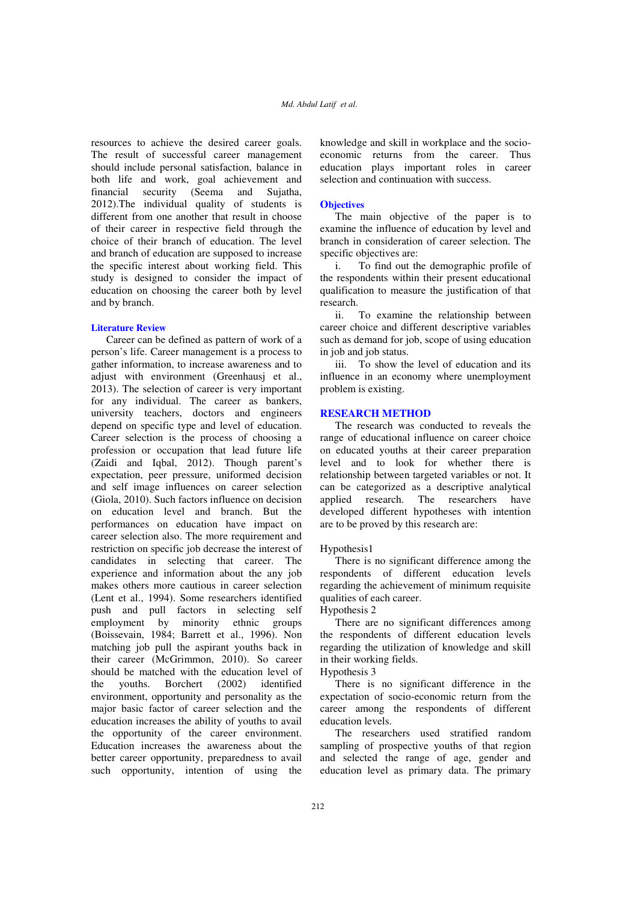resources to achieve the desired career goals. The result of successful career management should include personal satisfaction, balance in both life and work, goal achievement and financial security (Seema and Sujatha, 2012).The individual quality of students is different from one another that result in choose of their career in respective field through the choice of their branch of education. The level and branch of education are supposed to increase the specific interest about working field. This study is designed to consider the impact of education on choosing the career both by level and by branch.

## **Literature Review**

Career can be defined as pattern of work of a person's life. Career management is a process to gather information, to increase awareness and to adjust with environment (Greenhausj et al., 2013). The selection of career is very important for any individual. The career as bankers, university teachers, doctors and engineers depend on specific type and level of education. Career selection is the process of choosing a profession or occupation that lead future life (Zaidi and Iqbal, 2012). Though parent's expectation, peer pressure, uniformed decision and self image influences on career selection (Giola, 2010). Such factors influence on decision on education level and branch. But the performances on education have impact on career selection also. The more requirement and restriction on specific job decrease the interest of candidates in selecting that career. The experience and information about the any job makes others more cautious in career selection (Lent et al., 1994). Some researchers identified push and pull factors in selecting self employment by minority ethnic groups (Boissevain, 1984; Barrett et al., 1996). Non matching job pull the aspirant youths back in their career (McGrimmon, 2010). So career should be matched with the education level of the youths. Borchert (2002) identified environment, opportunity and personality as the major basic factor of career selection and the education increases the ability of youths to avail the opportunity of the career environment. Education increases the awareness about the better career opportunity, preparedness to avail such opportunity, intention of using the

knowledge and skill in workplace and the socioeconomic returns from the career. Thus education plays important roles in career selection and continuation with success.

# **Objectives**

The main objective of the paper is to examine the influence of education by level and branch in consideration of career selection. The specific objectives are:

i. To find out the demographic profile of the respondents within their present educational qualification to measure the justification of that research.

ii. To examine the relationship between career choice and different descriptive variables such as demand for job, scope of using education in job and job status.

iii. To show the level of education and its influence in an economy where unemployment problem is existing.

### **RESEARCH METHOD**

The research was conducted to reveals the range of educational influence on career choice on educated youths at their career preparation level and to look for whether there is relationship between targeted variables or not. It can be categorized as a descriptive analytical applied research. The researchers have developed different hypotheses with intention are to be proved by this research are:

### Hypothesis1

There is no significant difference among the respondents of different education levels regarding the achievement of minimum requisite qualities of each career.

Hypothesis 2

There are no significant differences among the respondents of different education levels regarding the utilization of knowledge and skill in their working fields.

# Hypothesis 3

There is no significant difference in the expectation of socio-economic return from the career among the respondents of different education levels.

The researchers used stratified random sampling of prospective youths of that region and selected the range of age, gender and education level as primary data. The primary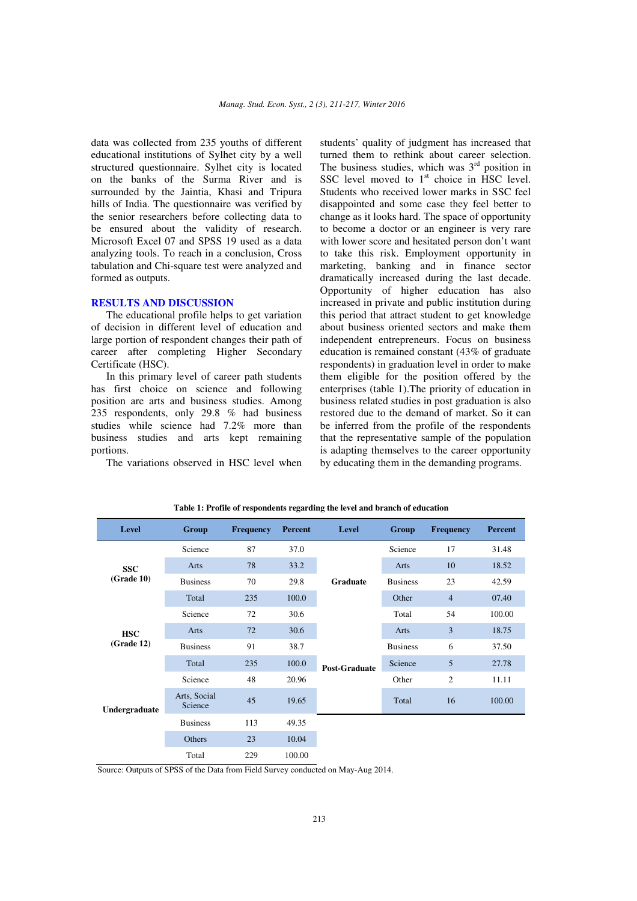data was collected from 235 youths of different educational institutions of Sylhet city by a well structured questionnaire. Sylhet city is located on the banks of the Surma River and is surrounded by the Jaintia, Khasi and Tripura hills of India. The questionnaire was verified by the senior researchers before collecting data to be ensured about the validity of research. Microsoft Excel 07 and SPSS 19 used as a data analyzing tools. To reach in a conclusion, Cross tabulation and Chi-square test were analyzed and formed as outputs.

### **RESULTS AND DISCUSSION**

The educational profile helps to get variation of decision in different level of education and large portion of respondent changes their path of career after completing Higher Secondary Certificate (HSC).

In this primary level of career path students has first choice on science and following position are arts and business studies. Among 235 respondents, only 29.8 % had business studies while science had 7.2% more than business studies and arts kept remaining portions.

The variations observed in HSC level when

students' quality of judgment has increased that turned them to rethink about career selection. The business studies, which was  $3<sup>rd</sup>$  position in SSC level moved to  $1<sup>st</sup>$  choice in HSC level. Students who received lower marks in SSC feel disappointed and some case they feel better to change as it looks hard. The space of opportunity to become a doctor or an engineer is very rare with lower score and hesitated person don't want to take this risk. Employment opportunity in marketing, banking and in finance sector dramatically increased during the last decade. Opportunity of higher education has also increased in private and public institution during this period that attract student to get knowledge about business oriented sectors and make them independent entrepreneurs. Focus on business education is remained constant (43% of graduate respondents) in graduation level in order to make them eligible for the position offered by the enterprises (table 1).The priority of education in business related studies in post graduation is also restored due to the demand of market. So it can be inferred from the profile of the respondents that the representative sample of the population is adapting themselves to the career opportunity by educating them in the demanding programs.

| Level         | Group                   | <b>Frequency</b> | Percent | <b>Level</b>         | Group           | <b>Frequency</b> | <b>Percent</b> |
|---------------|-------------------------|------------------|---------|----------------------|-----------------|------------------|----------------|
|               | Science                 | 87               | 37.0    |                      | Science         | 17               | 31.48          |
| <b>SSC</b>    | Arts                    | 78               | 33.2    |                      | Arts            | 10               | 18.52          |
| (Grade 10)    | <b>Business</b>         | 70               | 29.8    | <b>Graduate</b>      | <b>Business</b> | 23               | 42.59          |
|               | Total                   | 235              | 100.0   |                      | Other           | $\overline{4}$   | 07.40          |
|               | Science                 | 72               | 30.6    |                      | Total           | 54               | 100.00         |
| <b>HSC</b>    | Arts                    | 72               | 30.6    |                      | Arts            | $\overline{3}$   | 18.75          |
| (Grade 12)    | <b>Business</b>         | 91               | 38.7    |                      | <b>Business</b> | 6                | 37.50          |
|               | Total                   | 235              | 100.0   | <b>Post-Graduate</b> | Science         | 5                | 27.78          |
|               | 48<br>Science<br>20.96  |                  | Other   | $\overline{c}$       | 11.11           |                  |                |
| Undergraduate | Arts, Social<br>Science | 45               | 19.65   |                      | Total           | 16               | 100.00         |
|               | <b>Business</b>         | 113              | 49.35   |                      |                 |                  |                |
|               | Others                  | 23               | 10.04   |                      |                 |                  |                |
|               | Total                   | 229              | 100.00  |                      |                 |                  |                |

**Table 1: Profile of respondents regarding the level and branch of education**

Source: Outputs of SPSS of the Data from Field Survey conducted on May-Aug 2014.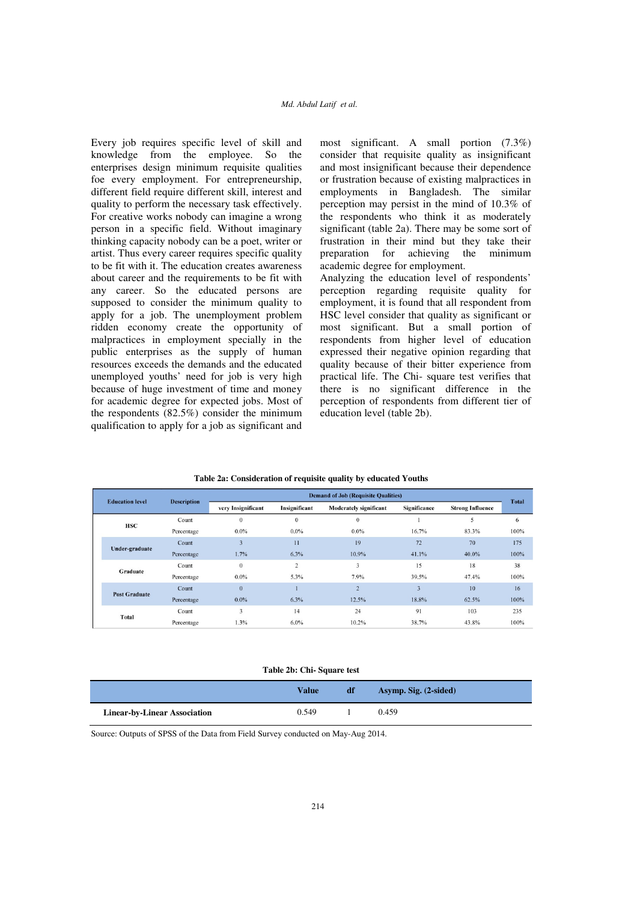# *Md. Abdul Latif et al.*

Every job requires specific level of skill and knowledge from the employee. So the enterprises design minimum requisite qualities foe every employment. For entrepreneurship, different field require different skill, interest and quality to perform the necessary task effectively. For creative works nobody can imagine a wrong person in a specific field. Without imaginary thinking capacity nobody can be a poet, writer or artist. Thus every career requires specific quality to be fit with it. The education creates awareness about career and the requirements to be fit with any career. So the educated persons are supposed to consider the minimum quality to apply for a job. The unemployment problem ridden economy create the opportunity of malpractices in employment specially in the public enterprises as the supply of human resources exceeds the demands and the educated unemployed youths' need for job is very high because of huge investment of time and money for academic degree for expected jobs. Most of the respondents (82.5%) consider the minimum qualification to apply for a job as significant and

most significant. A small portion (7.3%) consider that requisite quality as insignificant and most insignificant because their dependence or frustration because of existing malpractices in employments in Bangladesh. The similar perception may persist in the mind of 10.3% of the respondents who think it as moderately significant (table 2a). There may be some sort of frustration in their mind but they take their preparation for achieving the minimum academic degree for employment.

Analyzing the education level of respondents' perception regarding requisite quality for employment, it is found that all respondent from HSC level consider that quality as significant or most significant. But a small portion of respondents from higher level of education expressed their negative opinion regarding that quality because of their bitter experience from practical life. The Chi- square test verifies that there is no significant difference in the perception of respondents from different tier of education level (table 2b).

| Table 2a: Consideration of requisite quality by educated Youths |  |  |  |
|-----------------------------------------------------------------|--|--|--|
|-----------------------------------------------------------------|--|--|--|

| <b>Education level</b> |                      | <b>Description</b> | <b>Demand of Job (Requisite Qualities)</b> |                |                               |                         |                         |              |  |
|------------------------|----------------------|--------------------|--------------------------------------------|----------------|-------------------------------|-------------------------|-------------------------|--------------|--|
|                        |                      |                    | very Insignificant                         | Insignificant  | <b>Moderately significant</b> | Significance            | <b>Strong Influence</b> | <b>Total</b> |  |
|                        | <b>HSC</b>           | Count              | $\theta$                                   | $\mathbf{0}$   | $\Omega$                      |                         | 5                       | 6            |  |
|                        |                      | Percentage         | $0.0\%$                                    | $0.0\%$        | $0.0\%$                       | 16.7%                   | 83.3%                   | 100%         |  |
|                        |                      | Count              | $\overline{\mathbf{3}}$                    | 11             | 19                            | 72                      | 70                      | 175          |  |
|                        | Under-graduate       | Percentage         | 1.7%                                       | 6.3%           | 10.9%                         | 41.1%                   | $40.0\%$                | 100%         |  |
|                        | Graduate             | Count              | $\theta$                                   | $\overline{2}$ | 3                             | 15                      | 18                      | 38           |  |
|                        |                      | Percentage         | $0.0\%$                                    | 5.3%           | 7.9%                          | 39.5%                   | 47.4%                   | 100%         |  |
|                        | <b>Post Graduate</b> | Count              | $\mathbf{0}$                               |                | $\overline{2}$                | $\overline{\mathbf{3}}$ | 10                      | 16           |  |
|                        |                      | Percentage         | $0.0\%$                                    | 6.3%           | 12.5%                         | 18.8%                   | 62.5%                   | 100%         |  |
|                        |                      | Count              | 3                                          | 14             | 24                            | 91                      | 103                     | 235          |  |
|                        | <b>Total</b>         | Percentage         | 1.3%                                       | 6.0%           | 10.2%                         | 38.7%                   | 43.8%                   | 100%         |  |

**Table 2b: Chi- Square test** 

|                                     | Value | df | Asymp. Sig. (2-sided) |
|-------------------------------------|-------|----|-----------------------|
| <b>Linear-by-Linear Association</b> | 0.549 |    | 0.459                 |

Source: Outputs of SPSS of the Data from Field Survey conducted on May-Aug 2014.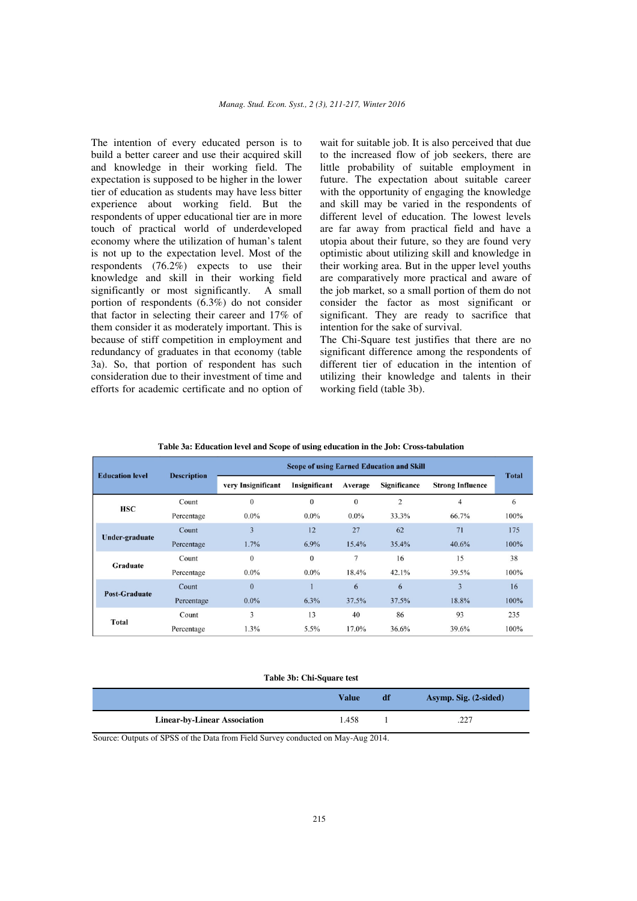The intention of every educated person is to build a better career and use their acquired skill and knowledge in their working field. The expectation is supposed to be higher in the lower tier of education as students may have less bitter experience about working field. But the respondents of upper educational tier are in more touch of practical world of underdeveloped economy where the utilization of human's talent is not up to the expectation level. Most of the respondents (76.2%) expects to use their knowledge and skill in their working field significantly or most significantly. A small portion of respondents (6.3%) do not consider that factor in selecting their career and 17% of them consider it as moderately important. This is because of stiff competition in employment and redundancy of graduates in that economy (table 3a). So, that portion of respondent has such consideration due to their investment of time and efforts for academic certificate and no option of

wait for suitable job. It is also perceived that due to the increased flow of job seekers, there are little probability of suitable employment in future. The expectation about suitable career with the opportunity of engaging the knowledge and skill may be varied in the respondents of different level of education. The lowest levels are far away from practical field and have a utopia about their future, so they are found very optimistic about utilizing skill and knowledge in their working area. But in the upper level youths are comparatively more practical and aware of the job market, so a small portion of them do not consider the factor as most significant or significant. They are ready to sacrifice that intention for the sake of survival.

The Chi-Square test justifies that there are no significant difference among the respondents of different tier of education in the intention of utilizing their knowledge and talents in their working field (table 3b).

| <b>Education level</b> | <b>Description</b> | <b>Scope of using Earned Education and Skill</b> |                  |              |              |                         |              |
|------------------------|--------------------|--------------------------------------------------|------------------|--------------|--------------|-------------------------|--------------|
|                        |                    | very Insignificant                               | Insignificant    | Average      | Significance | <b>Strong Influence</b> | <b>Total</b> |
| <b>HSC</b>             | Count              | $\theta$                                         | $\boldsymbol{0}$ | $\mathbf{0}$ | 2            | $\overline{4}$          | 6            |
|                        | Percentage         | $0.0\%$                                          | $0.0\%$          | $0.0\%$      | 33.3%        | 66.7%                   | 100%         |
|                        | Count              | 3                                                | 12               | 27           | 62           | 71                      | 175          |
| Under-graduate         | Percentage         | 1.7%                                             | 6.9%             | 15.4%        | 35.4%        | 40.6%                   | 100%         |
|                        | Count              | $\theta$                                         | $\Omega$         | 7            | 16           | 15                      | 38           |
| Graduate               | Percentage         | $0.0\%$                                          | $0.0\%$          | 18.4%        | 42.1%        | 39.5%                   | 100%         |
|                        | Count              | $\theta$                                         |                  | 6            | 6            | 3                       | 16           |
| <b>Post-Graduate</b>   | Percentage         | $0.0\%$                                          | 6.3%             | 37.5%        | 37.5%        | 18.8%                   | 100%         |
|                        | Count              | 3                                                | 13               | 40           | 86           | 93                      | 235          |
| <b>Total</b>           | Percentage         | 1.3%                                             | 5.5%             | 17.0%        | 36.6%        | 39.6%                   | 100%         |

#### **Table 3a: Education level and Scope of using education in the Job: Cross-tabulation**

### **Table 3b: Chi-Square test**

|                                     | Value | -df | Asymp. Sig. (2-sided) |
|-------------------------------------|-------|-----|-----------------------|
| <b>Linear-by-Linear Association</b> | 1.458 |     | つつつ<br>، ئەيتە        |

Source: Outputs of SPSS of the Data from Field Survey conducted on May-Aug 2014.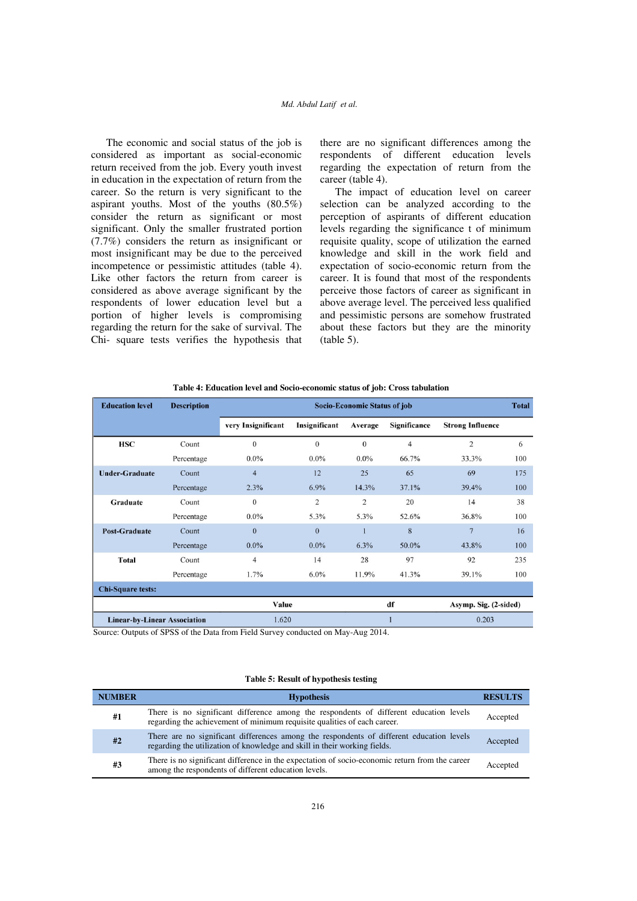# *Md. Abdul Latif et al.*

The economic and social status of the job is considered as important as social-economic return received from the job. Every youth invest in education in the expectation of return from the career. So the return is very significant to the aspirant youths. Most of the youths (80.5%) consider the return as significant or most significant. Only the smaller frustrated portion (7.7%) considers the return as insignificant or most insignificant may be due to the perceived incompetence or pessimistic attitudes (table 4). Like other factors the return from career is considered as above average significant by the respondents of lower education level but a portion of higher levels is compromising regarding the return for the sake of survival. The Chi- square tests verifies the hypothesis that

there are no significant differences among the respondents of different education levels regarding the expectation of return from the career (table 4).

The impact of education level on career selection can be analyzed according to the perception of aspirants of different education levels regarding the significance t of minimum requisite quality, scope of utilization the earned knowledge and skill in the work field and expectation of socio-economic return from the career. It is found that most of the respondents perceive those factors of career as significant in above average level. The perceived less qualified and pessimistic persons are somehow frustrated about these factors but they are the minority  $(table 5)$ .

| <b>Education level</b>              | <b>Description</b> | <b>Socio-Economic Status of job</b><br><b>Total</b> |                |                |                |                         |     |  |
|-------------------------------------|--------------------|-----------------------------------------------------|----------------|----------------|----------------|-------------------------|-----|--|
|                                     |                    | very Insignificant                                  | Insignificant  | Average        | Significance   | <b>Strong Influence</b> |     |  |
| <b>HSC</b>                          | Count              | $\Omega$                                            | $\mathbf{0}$   | $\mathbf{0}$   | $\overline{4}$ | $\overline{2}$          | 6   |  |
|                                     | Percentage         | $0.0\%$                                             | $0.0\%$        | $0.0\%$        | 66.7%          | 33.3%                   | 100 |  |
| <b>Under-Graduate</b>               | Count              | $\overline{4}$                                      | 12             | 25             | 65             | 69                      | 175 |  |
|                                     | Percentage         | 2.3%                                                | 6.9%           | 14.3%          | 37.1%          | 39.4%                   | 100 |  |
| Graduate                            | Count              | $\theta$                                            | $\overline{c}$ | $\overline{2}$ | 20             | 14                      | 38  |  |
|                                     | Percentage         | $0.0\%$                                             | 5.3%           | 5.3%           | 52.6%          | 36.8%                   | 100 |  |
| <b>Post-Graduate</b>                | Count              | $\theta$                                            | $\overline{0}$ |                | 8              | $\overline{7}$          | 16  |  |
|                                     | Percentage         | $0.0\%$                                             | $0.0\%$        | 6.3%           | 50.0%          | 43.8%                   | 100 |  |
| <b>Total</b>                        | Count              | $\overline{4}$                                      | 14             | 28             | 97             | 92                      | 235 |  |
|                                     | Percentage         | 1.7%                                                | $6.0\%$        | 11.9%          | 41.3%          | 39.1%                   | 100 |  |
| <b>Chi-Square tests:</b>            |                    |                                                     |                |                |                |                         |     |  |
|                                     |                    | Value<br>df                                         |                |                |                | Asymp. Sig. (2-sided)   |     |  |
| <b>Linear-by-Linear Association</b> |                    | 1.620                                               |                |                |                | 0.203                   |     |  |

|  |  |  |  |  |  | Table 4: Education level and Socio-economic status of job: Cross tabulation |
|--|--|--|--|--|--|-----------------------------------------------------------------------------|
|--|--|--|--|--|--|-----------------------------------------------------------------------------|

Source: Outputs of SPSS of the Data from Field Survey conducted on May-Aug 2014.

### **Table 5: Result of hypothesis testing**

| <b>NUMBER</b> | <b>Hypothesis</b>                                                                                                                                                     | <b>RESULTS</b> |
|---------------|-----------------------------------------------------------------------------------------------------------------------------------------------------------------------|----------------|
| #1            | There is no significant difference among the respondents of different education levels<br>regarding the achievement of minimum requisite qualities of each career.    | Accepted       |
| #2            | There are no significant differences among the respondents of different education levels<br>regarding the utilization of knowledge and skill in their working fields. | Accepted       |
| #3            | There is no significant difference in the expectation of socio-economic return from the career<br>among the respondents of different education levels.                | Accepted       |